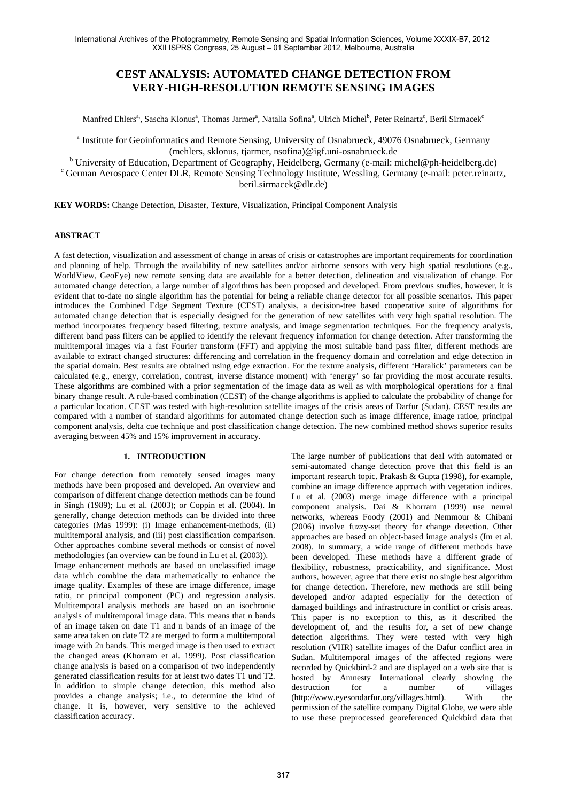# **CEST ANALYSIS: AUTOMATED CHANGE DETECTION FROM VERY-HIGH-RESOLUTION REMOTE SENSING IMAGES**

Manfred Ehlers<sup>a,</sup>, Sascha Klonus<sup>a</sup>, Thomas Jarmer<sup>a</sup>, Natalia Sofina<sup>a</sup>, Ulrich Michel<sup>b</sup>, Peter Reinartz<sup>c</sup>, Beril Sirmacek<sup>c</sup>

<sup>a</sup> Institute for Geoinformatics and Remote Sensing, University of Osnabrueck, 49076 Osnabrueck, Germany (mehlers, sklonus, tjarmer, nsofina)@igf.uni-osnabrueck.de<br> $\frac{b}{b}$ University of Education Department of Geography, Heidelberg Germany (e.m.il. n

<sup>b</sup> University of Education, Department of Geography, Heidelberg, Germany (e-mail: michel@ph-heidelberg.de) company (e-mail: motel) parameters contained by D. Bernard Sensing Technology Institute Wassling Company (e-mail:

<sup>c</sup> German Aerospace Center DLR, Remote Sensing Technology Institute, Wessling, Germany (e-mail: peter.reinartz,

beril.sirmacek@dlr.de)

**KEY WORDS:** Change Detection, Disaster, Texture, Visualization, Principal Component Analysis

# **ABSTRACT**

A fast detection, visualization and assessment of change in areas of crisis or catastrophes are important requirements for coordination and planning of help. Through the availability of new satellites and/or airborne sensors with very high spatial resolutions (e.g., WorldView, GeoEye) new remote sensing data are available for a better detection, delineation and visualization of change. For automated change detection, a large number of algorithms has been proposed and developed. From previous studies, however, it is evident that to-date no single algorithm has the potential for being a reliable change detector for all possible scenarios. This paper introduces the Combined Edge Segment Texture (CEST) analysis, a decision-tree based cooperative suite of algorithms for automated change detection that is especially designed for the generation of new satellites with very high spatial resolution. The method incorporates frequency based filtering, texture analysis, and image segmentation techniques. For the frequency analysis, different band pass filters can be applied to identify the relevant frequency information for change detection. After transforming the multitemporal images via a fast Fourier transform (FFT) and applying the most suitable band pass filter, different methods are available to extract changed structures: differencing and correlation in the frequency domain and correlation and edge detection in the spatial domain. Best results are obtained using edge extraction. For the texture analysis, different 'Haralick' parameters can be calculated (e.g., energy, correlation, contrast, inverse distance moment) with 'energy' so far providing the most accurate results. These algorithms are combined with a prior segmentation of the image data as well as with morphological operations for a final binary change result. A rule-based combination (CEST) of the change algorithms is applied to calculate the probability of change for a particular location. CEST was tested with high-resolution satellite images of the crisis areas of Darfur (Sudan). CEST results are compared with a number of standard algorithms for automated change detection such as image difference, image ratioe, principal component analysis, delta cue technique and post classification change detection. The new combined method shows superior results averaging between 45% and 15% improvement in accuracy.

# **1. INTRODUCTION**

For change detection from remotely sensed images many methods have been proposed and developed. An overview and comparison of different change detection methods can be found in Singh (1989); Lu et al. (2003); or Coppin et al. (2004). In generally, change detection methods can be divided into three categories (Mas 1999): (i) Image enhancement-methods, (ii) multitemporal analysis, and (iii) post classification comparison. Other approaches combine several methods or consist of novel methodologies (an overview can be found in Lu et al. (2003)). Image enhancement methods are based on unclassified image data which combine the data mathematically to enhance the image quality. Examples of these are image difference, image ratio, or principal component (PC) and regression analysis. Multitemporal analysis methods are based on an isochronic analysis of multitemporal image data. This means that n bands of an image taken on date T1 and n bands of an image of the same area taken on date T2 are merged to form a multitemporal image with 2n bands. This merged image is then used to extract the changed areas (Khorram et al. 1999). Post classification change analysis is based on a comparison of two independently generated classification results for at least two dates T1 und T2. In addition to simple change detection, this method also provides a change analysis; i.e., to determine the kind of change. It is, however, very sensitive to the achieved classification accuracy.

The large number of publications that deal with automated or semi-automated change detection prove that this field is an important research topic. Prakash & Gupta (1998), for example, combine an image difference approach with vegetation indices. Lu et al. (2003) merge image difference with a principal component analysis. Dai & Khorram (1999) use neural networks, whereas Foody (2001) and Nemmour & Chibani (2006) involve fuzzy-set theory for change detection. Other approaches are based on object-based image analysis (Im et al. 2008). In summary, a wide range of different methods have been developed. These methods have a different grade of flexibility, robustness, practicability, and significance. Most authors, however, agree that there exist no single best algorithm for change detection. Therefore, new methods are still being developed and/or adapted especially for the detection of damaged buildings and infrastructure in conflict or crisis areas. This paper is no exception to this, as it described the development of, and the results for, a set of new change detection algorithms. They were tested with very high resolution (VHR) satellite images of the Dafur conflict area in Sudan. Multitemporal images of the affected regions were recorded by Quickbird-2 and are displayed on a web site that is hosted by Amnesty International clearly showing the destruction for a number of villages (http://www.eyesondarfur.org/villages.html). With the permission of the satellite company Digital Globe, we were able to use these preprocessed georeferenced Quickbird data that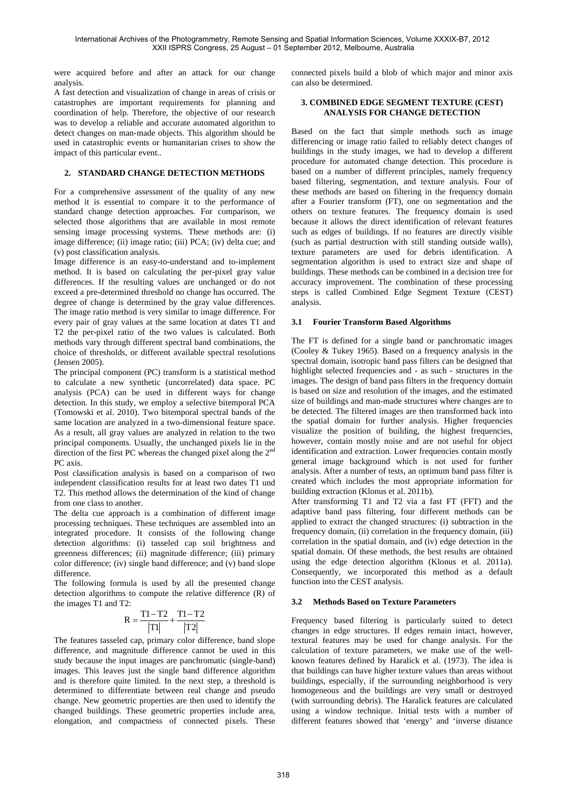were acquired before and after an attack for our change analysis.

A fast detection and visualization of change in areas of crisis or catastrophes are important requirements for planning and coordination of help. Therefore, the objective of our research was to develop a reliable and accurate automated algorithm to detect changes on man-made objects. This algorithm should be used in catastrophic events or humanitarian crises to show the impact of this particular event..

# **2. STANDARD CHANGE DETECTION METHODS**

For a comprehensive assessment of the quality of any new method it is essential to compare it to the performance of standard change detection approaches. For comparison, we selected those algorithms that are available in most remote sensing image processing systems. These methods are: (i) image difference; (ii) image ratio; (iii) PCA; (iv) delta cue; and (v) post classification analysis.

Image difference is an easy-to-understand and to-implement method. It is based on calculating the per-pixel gray value differences. If the resulting values are unchanged or do not exceed a pre-determined threshold no change has occurred. The degree of change is determined by the gray value differences. The image ratio method is very similar to image difference. For every pair of gray values at the same location at dates T1 and T2 the per-pixel ratio of the two values is calculated. Both methods vary through different spectral band combinations, the choice of thresholds, or different available spectral resolutions (Jensen 2005).

The principal component (PC) transform is a statistical method to calculate a new synthetic (uncorrelated) data space. PC analysis (PCA) can be used in different ways for change detection. In this study, we employ a selective bitemporal PCA (Tomowski et al. 2010). Two bitemporal spectral bands of the same location are analyzed in a two-dimensional feature space. As a result, all gray values are analyzed in relation to the two principal components. Usually, the unchanged pixels lie in the direction of the first PC whereas the changed pixel along the 2nd PC axis.

Post classification analysis is based on a comparison of two independent classification results for at least two dates T1 und T2. This method allows the determination of the kind of change from one class to another.

The delta cue approach is a combination of different image processing techniques. These techniques are assembled into an integrated procedure. It consists of the following change detection algorithms: (i) tasseled cap soil brightness and greenness differences; (ii) magnitude difference; (iii) primary color difference; (iv) single band difference; and (v) band slope difference.

The following formula is used by all the presented change detection algorithms to compute the relative difference (R) of the images T1 and T2:

$$
R=\frac{T1-T2}{\left|T1\right|}+\frac{T1-T2}{\left|T2\right|}
$$

The features tasseled cap, primary color difference, band slope difference, and magnitude difference cannot be used in this study because the input images are panchromatic (single-band) images. This leaves just the single band difference algorithm and is therefore quite limited. In the next step, a threshold is determined to differentiate between real change and pseudo change. New geometric properties are then used to identify the changed buildings. These geometric properties include area, elongation, and compactness of connected pixels. These connected pixels build a blob of which major and minor axis can also be determined.

### **3. COMBINED EDGE SEGMENT TEXTURE (CEST) ANALYSIS FOR CHANGE DETECTION**

Based on the fact that simple methods such as image differencing or image ratio failed to reliably detect changes of buildings in the study images, we had to develop a different procedure for automated change detection. This procedure is based on a number of different principles, namely frequency based filtering, segmentation, and texture analysis. Four of these methods are based on filtering in the frequency domain after a Fourier transform (FT), one on segmentation and the others on texture features. The frequency domain is used because it allows the direct identification of relevant features such as edges of buildings. If no features are directly visible (such as partial destruction with still standing outside walls), texture parameters are used for debris identification. A segmentation algorithm is used to extract size and shape of buildings. These methods can be combined in a decision tree for accuracy improvement. The combination of these processing steps is called Combined Edge Segment Texture (CEST) analysis.

### **3.1 Fourier Transform Based Algorithms**

The FT is defined for a single band or panchromatic images (Cooley & Tukey 1965). Based on a frequency analysis in the spectral domain, isotropic band pass filters can be designed that highlight selected frequencies and - as such - structures in the images. The design of band pass filters in the frequency domain is based on size and resolution of the images, and the estimated size of buildings and man-made structures where changes are to be detected. The filtered images are then transformed back into the spatial domain for further analysis. Higher frequencies visualize the position of building, the highest frequencies, however, contain mostly noise and are not useful for object identification and extraction. Lower frequencies contain mostly general image background which is not used for further analysis. After a number of tests, an optimum band pass filter is created which includes the most appropriate information for building extraction (Klonus et al. 2011b).

After transforming T1 and T2 via a fast FT (FFT) and the adaptive band pass filtering, four different methods can be applied to extract the changed structures: (i) subtraction in the frequency domain, (ii) correlation in the frequency domain, (iii) correlation in the spatial domain, and (iv) edge detection in the spatial domain. Of these methods, the best results are obtained using the edge detection algorithm (Klonus et al. 2011a). Consequently, we incorporated this method as a default function into the CEST analysis.

# **3.2 Methods Based on Texture Parameters**

Frequency based filtering is particularly suited to detect changes in edge structures. If edges remain intact, however, textural features may be used for change analysis. For the calculation of texture parameters, we make use of the wellknown features defined by Haralick et al. (1973). The idea is that buildings can have higher texture values than areas without buildings, especially, if the surrounding neighborhood is very homogeneous and the buildings are very small or destroyed (with surrounding debris). The Haralick features are calculated using a window technique. Initial tests with a number of different features showed that 'energy' and 'inverse distance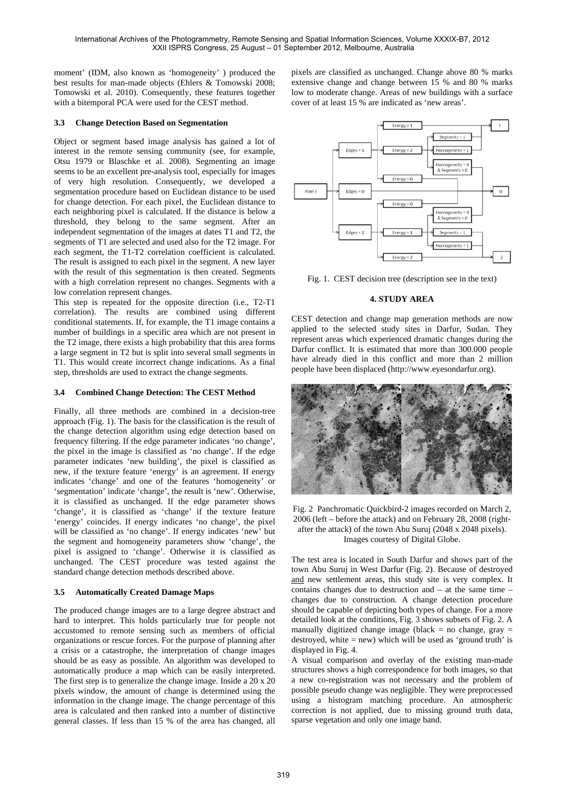moment' (IDM, also known as 'homogeneity' ) produced the best results for man-made objects (Ehlers & Tomowski 2008; Tomowski et al. 2010). Consequently, these features together with a bitemporal PCA were used for the CEST method.

## **3.3 Change Detection Based on Segmentation**

Object or segment based image analysis has gained a lot of interest in the remote sensing community (see, for example, Otsu 1979 or Blaschke et al. 2008). Segmenting an image seems to be an excellent pre-analysis tool, especially for images of very high resolution. Consequently, we developed a segmentation procedure based on Euclidean distance to be used for change detection. For each pixel, the Euclidean distance to each neighboring pixel is calculated. If the distance is below a threshold, they belong to the same segment. After an independent segmentation of the images at dates T1 and T2, the segments of T1 are selected and used also for the T2 image. For each segment, the T1-T2 correlation coefficient is calculated. The result is assigned to each pixel in the segment. A new layer with the result of this segmentation is then created. Segments with a high correlation represent no changes. Segments with a low correlation represent changes.

This step is repeated for the opposite direction (i.e., T2-T1 correlation). The results are combined using different conditional statements. If, for example, the T1 image contains a number of buildings in a specific area which are not present in the T2 image, there exists a high probability that this area forms a large segment in T2 but is split into several small segments in T1. This would create incorrect change indications. As a final step, thresholds are used to extract the change segments.

### **3.4 Combined Change Detection: The CEST Method**

Finally, all three methods are combined in a decision-tree approach (Fig. 1). The basis for the classification is the result of the change detection algorithm using edge detection based on frequency filtering. If the edge parameter indicates 'no change', the pixel in the image is classified as 'no change'. If the edge parameter indicates 'new building', the pixel is classified as new, if the texture feature 'energy' is an agreement. If energy indicates 'change' and one of the features 'homogeneity' or 'segmentation' indicate 'change', the result is 'new'. Otherwise, it is classified as unchanged. If the edge parameter shows 'change', it is classified as 'change' if the texture feature 'energy' coincides. If energy indicates 'no change', the pixel will be classified as 'no change'. If energy indicates 'new' but the segment and homogeneity parameters show 'change', the pixel is assigned to 'change'. Otherwise it is classified as unchanged. The CEST procedure was tested against the standard change detection methods described above.

# **3.5 Automatically Created Damage Maps**

The produced change images are to a large degree abstract and hard to interpret. This holds particularly true for people not accustomed to remote sensing such as members of official organizations or rescue forces. For the purpose of planning after a crisis or a catastrophe, the interpretation of change images should be as easy as possible. An algorithm was developed to automatically produce a map which can be easily interpreted. The first step is to generalize the change image. Inside a 20 x 20 pixels window, the amount of change is determined using the information in the change image. The change percentage of this area is calculated and then ranked into a number of distinctive general classes. If less than 15 % of the area has changed, all pixels are classified as unchanged. Change above 80 % marks extensive change and change between 15 % and 80 % marks low to moderate change. Areas of new buildings with a surface cover of at least 15 % are indicated as 'new areas'.



Fig. 1. CEST decision tree (description see in the text)

### **4. STUDY AREA**

CEST detection and change map generation methods are now applied to the selected study sites in Darfur, Sudan. They represent areas which experienced dramatic changes during the Darfur conflict. It is estimated that more than 300.000 people have already died in this conflict and more than 2 million people have been displaced (http://www.eyesondarfur.org).





The test area is located in South Darfur and shows part of the town Abu Suruj in West Darfur (Fig. 2). Because of destroyed and new settlement areas, this study site is very complex. It contains changes due to destruction and – at the same time – changes due to construction. A change detection procedure should be capable of depicting both types of change. For a more detailed look at the conditions, Fig. 3 shows subsets of Fig. 2. A manually digitized change image (black = no change, gray = destroyed, white  $=$  new) which will be used as 'ground truth' is displayed in Fig. 4.

A visual comparison and overlay of the existing man-made structures shows a high correspondence for both images, so that a new co-registration was not necessary and the problem of possible pseudo change was negligible. They were preprocessed using a histogram matching procedure. An atmospheric correction is not applied, due to missing ground truth data, sparse vegetation and only one image band.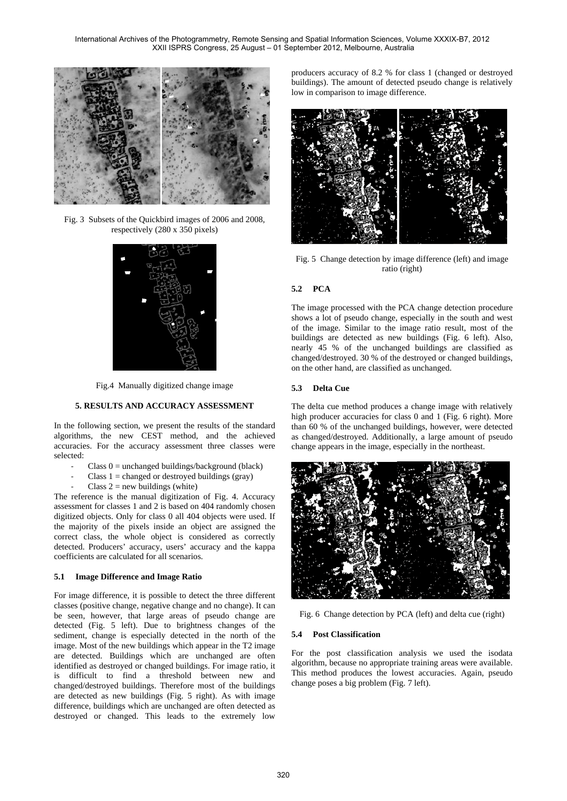International Archives of the Photogrammetry, Remote Sensing and Spatial Information Sciences, Volume XXXIX-B7, 2012 XXII ISPRS Congress, 25 August – 01 September 2012, Melbourne, Australia



Fig. 3 Subsets of the Quickbird images of 2006 and 2008, respectively (280 x 350 pixels)



Fig.4 Manually digitized change image

### **5. RESULTS AND ACCURACY ASSESSMENT**

In the following section, we present the results of the standard algorithms, the new CEST method, and the achieved accuracies. For the accuracy assessment three classes were selected:

- Class  $0 =$  unchanged buildings/background (black)
- Class  $1 =$  changed or destroyed buildings (gray)
- Class  $2 = new$  buildings (white)

The reference is the manual digitization of Fig. 4. Accuracy assessment for classes 1 and 2 is based on 404 randomly chosen digitized objects. Only for class 0 all 404 objects were used. If the majority of the pixels inside an object are assigned the correct class, the whole object is considered as correctly detected. Producers' accuracy, users' accuracy and the kappa coefficients are calculated for all scenarios.

#### **5.1 Image Difference and Image Ratio**

For image difference, it is possible to detect the three different classes (positive change, negative change and no change). It can be seen, however, that large areas of pseudo change are detected (Fig. 5 left). Due to brightness changes of the sediment, change is especially detected in the north of the image. Most of the new buildings which appear in the T2 image are detected. Buildings which are unchanged are often identified as destroyed or changed buildings. For image ratio, it is difficult to find a threshold between new and changed/destroyed buildings. Therefore most of the buildings are detected as new buildings (Fig. 5 right). As with image difference, buildings which are unchanged are often detected as destroyed or changed. This leads to the extremely low

producers accuracy of 8.2 % for class 1 (changed or destroyed buildings). The amount of detected pseudo change is relatively low in comparison to image difference.



Fig. 5 Change detection by image difference (left) and image ratio (right)

### **5.2 PCA**

The image processed with the PCA change detection procedure shows a lot of pseudo change, especially in the south and west of the image. Similar to the image ratio result, most of the buildings are detected as new buildings (Fig. 6 left). Also, nearly 45 % of the unchanged buildings are classified as changed/destroyed. 30 % of the destroyed or changed buildings, on the other hand, are classified as unchanged.

#### **5.3 Delta Cue**

The delta cue method produces a change image with relatively high producer accuracies for class 0 and 1 (Fig. 6 right). More than 60 % of the unchanged buildings, however, were detected as changed/destroyed. Additionally, a large amount of pseudo change appears in the image, especially in the northeast.



Fig. 6 Change detection by PCA (left) and delta cue (right)

#### **5.4 Post Classification**

For the post classification analysis we used the isodata algorithm, because no appropriate training areas were available. This method produces the lowest accuracies. Again, pseudo change poses a big problem (Fig. 7 left).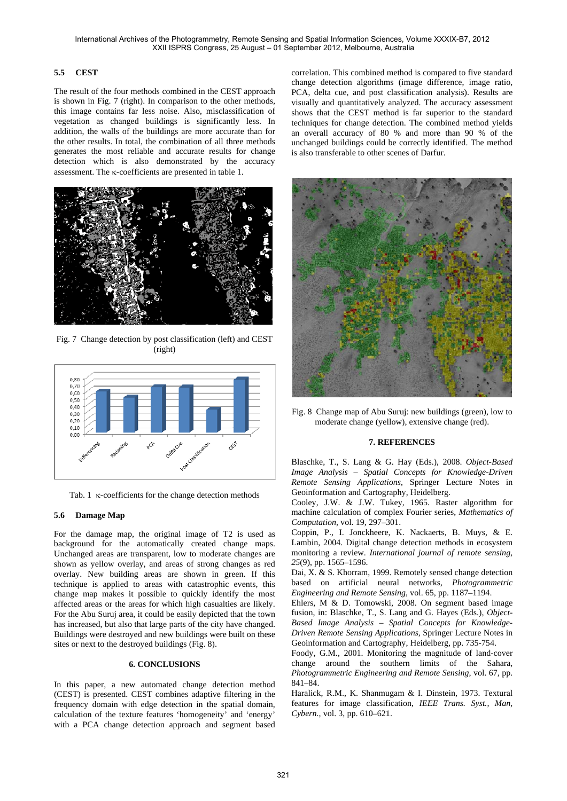# **5.5 CEST**

The result of the four methods combined in the CEST approach is shown in Fig. 7 (right). In comparison to the other methods, this image contains far less noise. Also, misclassification of vegetation as changed buildings is significantly less. In addition, the walls of the buildings are more accurate than for the other results. In total, the combination of all three methods generates the most reliable and accurate results for change detection which is also demonstrated by the accuracy assessment. The  $\kappa$ -coefficients are presented in table 1.



Fig. 7 Change detection by post classification (left) and CEST (right)



Tab. 1  $\kappa$ -coefficients for the change detection methods

# **5.6 Damage Map**

For the damage map, the original image of T2 is used as background for the automatically created change maps. Unchanged areas are transparent, low to moderate changes are shown as yellow overlay, and areas of strong changes as red overlay. New building areas are shown in green. If this technique is applied to areas with catastrophic events, this change map makes it possible to quickly identify the most affected areas or the areas for which high casualties are likely. For the Abu Suruj area, it could be easily depicted that the town has increased, but also that large parts of the city have changed. Buildings were destroyed and new buildings were built on these sites or next to the destroyed buildings (Fig. 8).

### **6. CONCLUSIONS**

In this paper, a new automated change detection method (CEST) is presented. CEST combines adaptive filtering in the frequency domain with edge detection in the spatial domain, calculation of the texture features 'homogeneity' and 'energy' with a PCA change detection approach and segment based correlation. This combined method is compared to five standard change detection algorithms (image difference, image ratio, PCA, delta cue, and post classification analysis). Results are visually and quantitatively analyzed. The accuracy assessment shows that the CEST method is far superior to the standard techniques for change detection. The combined method yields an overall accuracy of 80 % and more than 90 % of the unchanged buildings could be correctly identified. The method is also transferable to other scenes of Darfur.



Fig. 8 Change map of Abu Suruj: new buildings (green), low to moderate change (yellow), extensive change (red).

### **7. REFERENCES**

Blaschke, T., S. Lang & G. Hay (Eds.), 2008. *Object-Based Image Analysis – Spatial Concepts for Knowledge-Driven Remote Sensing Applications*, Springer Lecture Notes in Geoinformation and Cartography, Heidelberg.

Cooley, J.W. & J.W. Tukey, 1965. Raster algorithm for machine calculation of complex Fourier series, *Mathematics of Computation*, vol. 19*,* 297–301.

Coppin, P., I. Jonckheere, K. Nackaerts, B. Muys, & E. Lambin, 2004. Digital change detection methods in ecosystem monitoring a review. *International journal of remote sensing, 25*(9), pp. 1565–1596.

Dai, X. & S. Khorram, 1999. Remotely sensed change detection based on artificial neural networks, *Photogrammetric Engineering and Remote Sensing*, vol. 65, pp. 1187–1194.

Ehlers, M & D. Tomowski, 2008. On segment based image fusion, in: Blaschke, T., S. Lang and G. Hayes (Eds.), *Object-Based Image Analysis – Spatial Concepts for Knowledge-Driven Remote Sensing Applications*, Springer Lecture Notes in Geoinformation and Cartography, Heidelberg, pp. 735-754.

Foody, G.M., 2001. Monitoring the magnitude of land-cover change around the southern limits of the Sahara, *Photogrammetric Engineering and Remote Sensing*, vol. 67, pp. 841–84.

Haralick, R.M., K. Shanmugam & I. Dinstein, 1973. Textural features for image classification, *IEEE Trans. Syst., Man, Cybern.,* vol. 3, pp. 610–621.